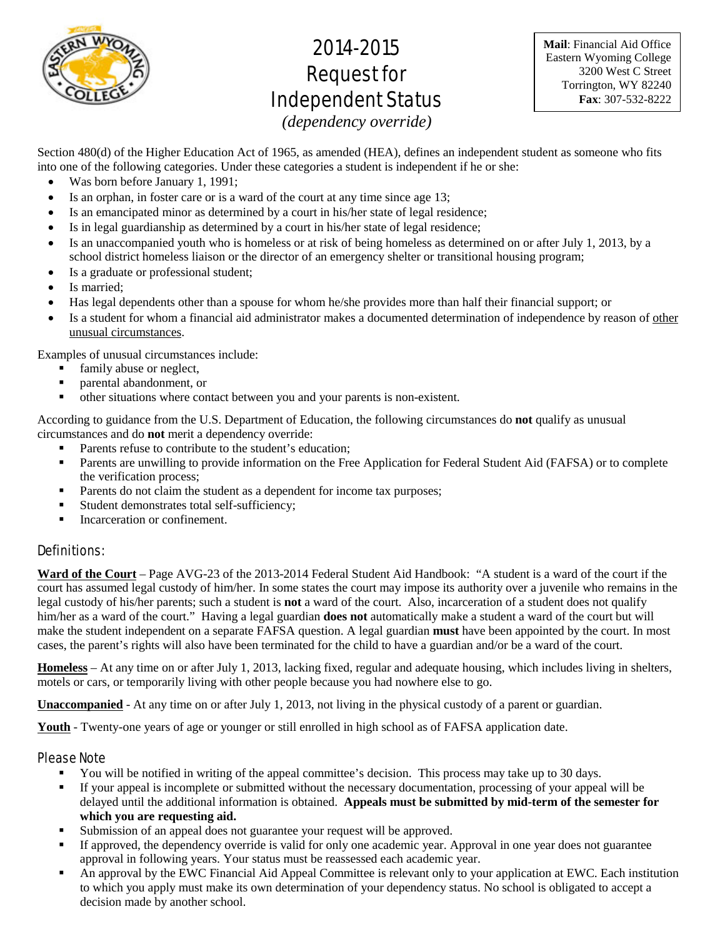

# 2014-2015 Request for Independent Status

**Mail**: Financial Aid Office Eastern Wyoming College 3200 West C Street Torrington, WY 82240 **Fax**: 307-532-8222

*(dependency override)*

Section 480(d) of the Higher Education Act of 1965, as amended (HEA), defines an independent student as someone who fits into one of the following categories. Under these categories a student is independent if he or she:

- Was born before January 1, 1991;
- Is an orphan, in foster care or is a ward of the court at any time since age 13;
- Is an emancipated minor as determined by a court in his/her state of legal residence;
- Is in legal guardianship as determined by a court in his/her state of legal residence;
- Is an unaccompanied youth who is homeless or at risk of being homeless as determined on or after July 1, 2013, by a school district homeless liaison or the director of an emergency shelter or transitional housing program;
- Is a graduate or professional student;
- Is married;
- Has legal dependents other than a spouse for whom he/she provides more than half their financial support; or
- Is a student for whom a financial aid administrator makes a documented determination of independence by reason of other unusual circumstances.

Examples of unusual circumstances include:

- family abuse or neglect,
- parental abandonment, or
- other situations where contact between you and your parents is non-existent.

According to guidance from the U.S. Department of Education, the following circumstances do **not** qualify as unusual circumstances and do **not** merit a dependency override:

- Parents refuse to contribute to the student's education;
- Parents are unwilling to provide information on the Free Application for Federal Student Aid (FAFSA) or to complete the verification process;
- Parents do not claim the student as a dependent for income tax purposes;
- Student demonstrates total self-sufficiency;
- Incarceration or confinement.

## Definitions:

**Ward of the Court** – Page AVG-23 of the 2013-2014 Federal Student Aid Handbook: "A student is a ward of the court if the court has assumed legal custody of him/her. In some states the court may impose its authority over a juvenile who remains in the legal custody of his/her parents; such a student is **not** a ward of the court. Also, incarceration of a student does not qualify him/her as a ward of the court." Having a legal guardian **does not** automatically make a student a ward of the court but will make the student independent on a separate FAFSA question. A legal guardian **must** have been appointed by the court. In most cases, the parent's rights will also have been terminated for the child to have a guardian and/or be a ward of the court.

**Homeless** – At any time on or after July 1, 2013, lacking fixed, regular and adequate housing, which includes living in shelters, motels or cars, or temporarily living with other people because you had nowhere else to go.

**Unaccompanied** - At any time on or after July 1, 2013, not living in the physical custody of a parent or guardian.

**Youth** - Twenty-one years of age or younger or still enrolled in high school as of FAFSA application date.

## Please Note

- You will be notified in writing of the appeal committee's decision. This process may take up to 30 days.
- If your appeal is incomplete or submitted without the necessary documentation, processing of your appeal will be delayed until the additional information is obtained. **Appeals must be submitted by mid-term of the semester for which you are requesting aid.**
- Submission of an appeal does not guarantee your request will be approved.
- If approved, the dependency override is valid for only one academic year. Approval in one year does not guarantee approval in following years. Your status must be reassessed each academic year.
- An approval by the EWC Financial Aid Appeal Committee is relevant only to your application at EWC. Each institution to which you apply must make its own determination of your dependency status. No school is obligated to accept a decision made by another school.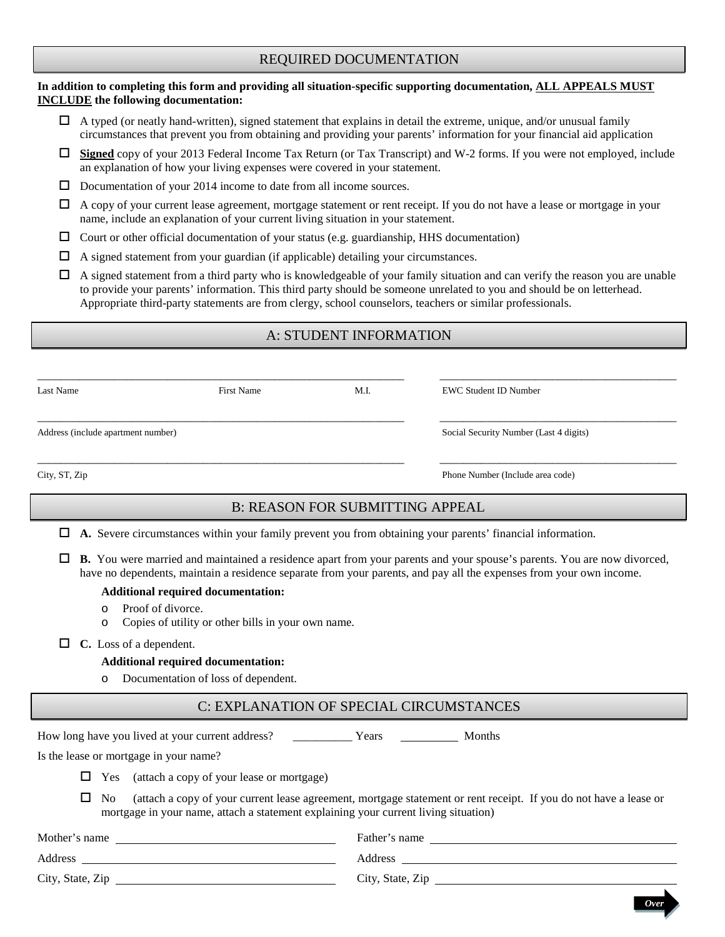# REQUIRED DOCUMENTATION

#### **In addition to completing this form and providing all situation-specific supporting documentation, ALL APPEALS MUST INCLUDE the following documentation:**

- $\Box$  A typed (or neatly hand-written), signed statement that explains in detail the extreme, unique, and/or unusual family circumstances that prevent you from obtaining and providing your parents' information for your financial aid application
- **Signed** copy of your 2013 Federal Income Tax Return (or Tax Transcript) and W-2 forms. If you were not employed, include an explanation of how your living expenses were covered in your statement.
- $\Box$  Documentation of your 2014 income to date from all income sources.
- $\Box$  A copy of your current lease agreement, mortgage statement or rent receipt. If you do not have a lease or mortgage in your name, include an explanation of your current living situation in your statement.
- $\Box$  Court or other official documentation of your status (e.g. guardianship, HHS documentation)
- $\Box$  A signed statement from your guardian (if applicable) detailing your circumstances.
- $\Box$  A signed statement from a third party who is knowledgeable of your family situation and can verify the reason you are unable to provide your parents' information. This third party should be someone unrelated to you and should be on letterhead. Appropriate third-party statements are from clergy, school counselors, teachers or similar professionals.

# A: STUDENT INFORMATION

| Last Name                          | <b>First Name</b> | M.I. | <b>EWC Student ID Number</b>           |
|------------------------------------|-------------------|------|----------------------------------------|
| Address (include apartment number) |                   |      | Social Security Number (Last 4 digits) |
| City, ST, Zip                      |                   |      | Phone Number (Include area code)       |

# B: REASON FOR SUBMITTING APPEAL

|  |  |  |  |  |  |  |  | $\Box$ A. Severe circumstances within your family prevent you from obtaining your parents' financial information. |
|--|--|--|--|--|--|--|--|-------------------------------------------------------------------------------------------------------------------|
|--|--|--|--|--|--|--|--|-------------------------------------------------------------------------------------------------------------------|

 **B.** You were married and maintained a residence apart from your parents and your spouse's parents. You are now divorced, have no dependents, maintain a residence separate from your parents, and pay all the expenses from your own income.

#### **Additional required documentation:**

- $\circ$  Proof of divorce.
- Copies of utility or other bills in your own name.
- **C.** Loss of a dependent.

#### **Additional required documentation:**

o Documentation of loss of dependent.

# C: EXPLANATION OF SPECIAL CIRCUMSTANCES

How long have you lived at your current address? \_\_\_\_\_\_\_\_\_\_\_\_\_ Years \_\_\_\_\_\_\_\_\_\_\_ Months

Is the lease or mortgage in your name?

 $\Box$  Yes (attach a copy of your lease or mortgage)

 $\Box$  No (attach a copy of your current lease agreement, mortgage statement or rent receipt. If you do not have a lease or mortgage in your name, attach a statement explaining your current living situation)

*Over*

| Father's name    |
|------------------|
| Address          |
| City, State, Zip |
|                  |